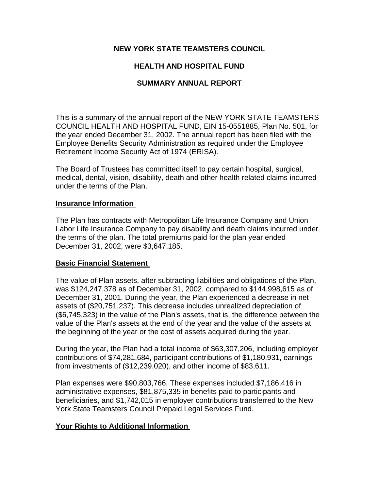## **NEW YORK STATE TEAMSTERS COUNCIL**

# **HEALTH AND HOSPITAL FUND**

## **SUMMARY ANNUAL REPORT**

This is a summary of the annual report of the NEW YORK STATE TEAMSTERS COUNCIL HEALTH AND HOSPITAL FUND, EIN 15-0551885, Plan No. 501, for the year ended December 31, 2002. The annual report has been filed with the Employee Benefits Security Administration as required under the Employee Retirement Income Security Act of 1974 (ERISA).

The Board of Trustees has committed itself to pay certain hospital, surgical, medical, dental, vision, disability, death and other health related claims incurred under the terms of the Plan.

### **Insurance Information**

The Plan has contracts with Metropolitan Life Insurance Company and Union Labor Life Insurance Company to pay disability and death claims incurred under the terms of the plan. The total premiums paid for the plan year ended December 31, 2002, were \$3,647,185.

## **Basic Financial Statement**

The value of Plan assets, after subtracting liabilities and obligations of the Plan, was \$124,247,378 as of December 31, 2002, compared to \$144,998,615 as of December 31, 2001. During the year, the Plan experienced a decrease in net assets of (\$20,751,237). This decrease includes unrealized depreciation of (\$6,745,323) in the value of the Plan's assets, that is, the difference between the value of the Plan's assets at the end of the year and the value of the assets at the beginning of the year or the cost of assets acquired during the year.

During the year, the Plan had a total income of \$63,307,206, including employer contributions of \$74,281,684, participant contributions of \$1,180,931, earnings from investments of (\$12,239,020), and other income of \$83,611.

Plan expenses were \$90,803,766. These expenses included \$7,186,416 in administrative expenses, \$81,875,335 in benefits paid to participants and beneficiaries, and \$1,742,015 in employer contributions transferred to the New York State Teamsters Council Prepaid Legal Services Fund.

## **Your Rights to Additional Information**